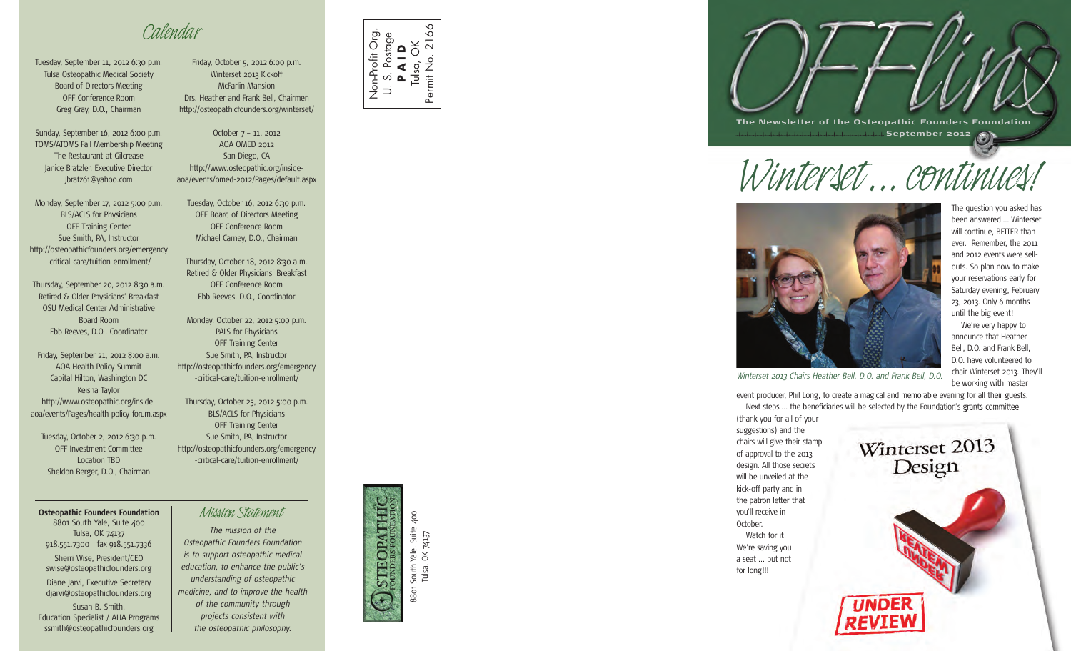*Calendar*

Tuesday, September 11, 2012 6:30 p.m. Tulsa Osteopathic Medical Society Board of Directors Meeting OFF Conference Room Greg Gray, D.O., Chairman

Sunday, September 16, 2012 6:00 p.m. TOMS/ATOMS Fall Membership Meeting The Restaurant at Gilcrease Janice Bratzler, Executive Director Jbratz61@yahoo.com

Monday, September 17, 2012 5:00 p.m. BLS/ACLS for Physicians OFF Training Center Sue Smith, PA, Instructor http://osteopathicfounders.org/emergency -critical-care/tuition-enrollment/

Thursday, September 20, 2012 8:30 a.m. Retired & Older Physicians' Breakfast OSU Medical Center Administrative Board Room Ebb Reeves, D.O., Coordinator

Friday, September 21, 2012 8:00 a.m. AOA Health Policy Summit Capital Hilton, Washington DC Keisha Taylor http://www.osteopathic.org/insideaoa/events/Pages/health-policy-forum.aspx

Tuesday, October 2, 2012 6:30 p.m. OFF Investment Committee Location TBD Sheldon Berger, D.O., Chairman

**Osteopathic Founders Foundation** *Mission Statement* 8801 South Yale, Suite 400 Tulsa, OK 74137 918.551.7300 fax 918.551.7336 Sherri Wise, President/CEO swise@osteopathicfounders.org Diane Jarvi, Executive Secretary djarvi@osteopathicfounders.org Susan B. Smith, Education Specialist / AHA Programs ssmith@osteopathicfounders.org

Friday, October 5, 2012 6:00 p.m. Winterset 2013 Kickoff McFarlin Mansion Drs. Heather and Frank Bell, Chairmen http://osteopathicfounders.org/winterset/

October 7 – 11, 2012 AOA OMED 2012 San Diego, CA http://www.osteopathic.org/insideaoa/events/omed-2012/Pages/default.aspx

Tuesday, October 16, 2012 6:30 p.m. OFF Board of Directors Meeting OFF Conference Room Michael Carney, D.O., Chairman

Thursday, October 18, 2012 8:30 a.m. Retired & Older Physicians' Breakfast OFF Conference Room Ebb Reeves, D.O., Coordinator

Monday, October 22, 2012 5:00 p.m. PALS for Physicians OFF Training Center Sue Smith, PA, Instructor http://osteopathicfounders.org/emergency -critical-care/tuition-enrollment/

Thursday, October 25, 2012 5:00 p.m. BLS/ACLS for Physicians OFF Training Center Sue Smith, PA, Instructor http://osteopathicfounders.org/emergency -critical-care/tuition-enrollment/

*The mission of the Osteopathic Founders Foundation is to support osteopathic medical education, to enhance the public's understanding of osteopathic medicine, and to improve the health of the community through projects consistent with the osteopathic philosophy.*



Non-Profit Org. U. S. Postage **P A I D** Tulsa, OK Permit No. 2166

Non-Profit Org

 $80$ 

L South Yale, Suite 400<br>Tulsa, OK 74137 8801 South Yale, Suite 400 Tulsa, OK 74137 8801





*Winterset ...continues!*



The question you asked has been answered … Winterset will continue. BETTER than ever. Remember, the 2011 and 2012 events were sellouts. So plan now to make your reservations early for Saturday evening, February 23, 2013. Only 6 months until the big event! We're very happy to announce that Heather Bell, D.O. and Frank Bell, D.O. have volunteered to chair Winterset 2013. They'll be working with master

*Winterset 2013 Chairs Heather Bell, D.O. and Frank Bell, D.O.*

event producer, Phil Long, to create a magical and memorable evening for all their guests. Next steps … the beneficiaries will be selected by the Foundation's grants committee

(thank you for all of your suggestions) and the chairs will give their stamp of approval to the 2013 design. All those secrets will be unveiled at the kick-off party and in the patron letter that you'll receive in October. Watch for it! We're saving you a seat ... but not for long!!!